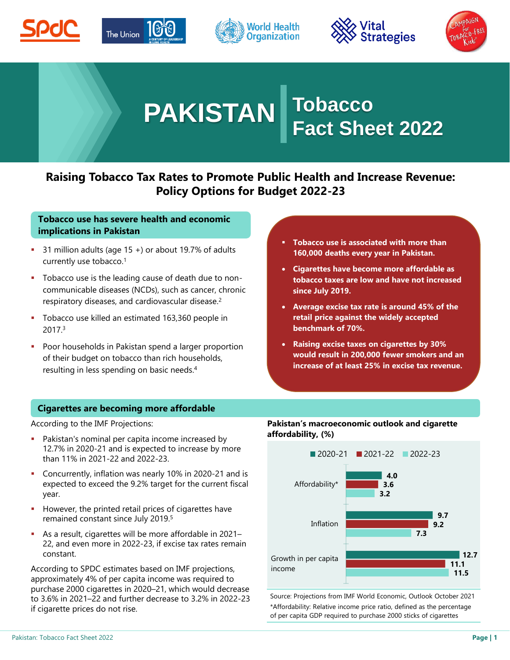









# **PAKISTAN Tobacco Fact Sheet 2022**

# **Raising Tobacco Tax Rates to Promote Public Health and Increase Revenue: Policy Options for Budget 2022-23**

#### **Tobacco use has severe health and economic implications in Pakistan**

- $\blacksquare$  31 million adults (age 15 +) or about 19.7% of adults currently use tobacco.<sup>1</sup>
- Tobacco use is the leading cause of death due to noncommunicable diseases (NCDs), such as cancer, chronic respiratory diseases, and cardiovascular disease.<sup>2</sup>
- Tobacco use killed an estimated 163,360 people in 2017.<sup>3</sup>
- Poor households in Pakistan spend a larger proportion of their budget on tobacco than rich households, resulting in less spending on basic needs.<sup>4</sup>
- **Tobacco use is associated with more than 160,000 deaths every year in Pakistan.**
- **Cigarettes have become more affordable as tobacco taxes are low and have not increased since July 2019.**
- **Average excise tax rate is around 45% of the retail price against the widely accepted benchmark of 70%.**
- **Raising excise taxes on cigarettes by 30% would result in 200,000 fewer smokers and an increase of at least 25% in excise tax revenue.**

## **Cigarettes are becoming more affordable**

According to the IMF Projections:

- Pakistan's nominal per capita income increased by 12.7% in 2020-21 and is expected to increase by more than 11% in 2021-22 and 2022-23.
- Concurrently, inflation was nearly 10% in 2020-21 and is expected to exceed the 9.2% target for the current fiscal year.
- **EXEDENT** However, the printed retail prices of cigarettes have remained constant since July 2019.<sup>5</sup>
- As a result, cigarettes will be more affordable in 2021– 22, and even more in 2022-23, if excise tax rates remain constant.

According to SPDC estimates based on IMF projections, approximately 4% of per capita income was required to purchase 2000 cigarettes in 2020–21, which would decrease to 3.6% in 2021–22 and further decrease to 3.2% in 2022-23 if cigarette prices do not rise.

**Pakistan's macroeconomic outlook and cigarette affordability, (%)**



Source: Projections from IMF World Economic, Outlook October 2021 \*Affordability: Relative income price ratio, defined as the percentage of per capita GDP required to purchase 2000 sticks of cigarettes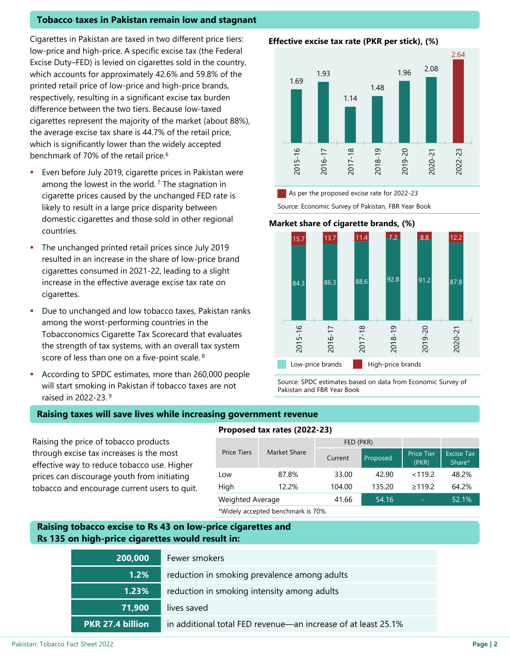#### **Tobacco taxes in Pakistan remain low and stagnant**

Cigarettes in Pakistan are taxed in two different price tiers: low-price and high-price. A specific excise tax (the Federal Excise Duty–FED) is levied on cigarettes sold in the country, which accounts for approximately 42.6% and 59.8% of the printed retail price of low-price and high-price brands, respectively, resulting in a significant excise tax burden difference between the two tiers. Because low-taxed cigarettes represent the majority of the market (about 88%), the average excise tax share is 44.7% of the retail price, which is significantly lower than the widely accepted benchmark of 70% of the retail price.<sup>6</sup>

- Even before July 2019, cigarette prices in Pakistan were among the lowest in the world.<sup> $7$ </sup> The stagnation in cigarette prices caused by the unchanged FED rate is likely to result in a large price disparity between domestic cigarettes and those sold in other regional countries.
- **•** The unchanged printed retail prices since July 2019 resulted in an increase in the share of low-price brand cigarettes consumed in 2021-22, leading to a slight increase in the effective average excise tax rate on cigarettes.
- Due to unchanged and low tobacco taxes, Pakistan ranks among the worst-performing countries in the Tobacconomics Cigarette Tax Scorecard that evaluates the strength of tax systems, with an overall tax system score of less than one on a five-point scale. <sup>8</sup>
- According to SPDC estimates, more than 260,000 people will start smoking in Pakistan if tobacco taxes are not raised in 2022-23. <sup>9</sup>





As per the proposed excise rate for 2022-23

Source: Economic Survey of Pakistan, FBR Year Book

#### **Market share of cigarette brands, (%)**



Source: SPDC estimates based on data from Economic Survey of Pakistan and FBR Year Book

#### **Raising taxes will save lives while increasing government revenue**

Raising the price of tobacco products through excise tax increases is the most effective way to reduce tobacco use. Higher prices can discourage youth from initiating tobacco and encourage current users to quit.

## **Proposed tax rates (2022-23)**

| <b>Price Tiers</b>                 | Market Share | FED (PKR) |          |                     |                      |
|------------------------------------|--------------|-----------|----------|---------------------|----------------------|
|                                    |              | Current   | Proposed | Price Tier<br>(PKR) | Excise Tax<br>Share* |
| Low                                | 87.8%        | 33.00     | 42.90    | < 119.2             | 48.2%                |
| High                               | 12.2%        | 104.00    | 135.20   | $\geq$ 119.2        | 64.2%                |
| <b>Weighted Average</b>            |              | 41.66     | 54.16    |                     | 52.1%                |
| *Widely accepted benchmark is 70%. |              |           |          |                     |                      |

#### **Raising tobacco excise to Rs 43 on low-price cigarettes and Rs 135 on high-price cigarettes would result in:**

| 200,000          | Fewer smokers                                                 |  |
|------------------|---------------------------------------------------------------|--|
| $1.2\%$          | reduction in smoking prevalence among adults                  |  |
| 1.23%            | reduction in smoking intensity among adults                   |  |
| 71,900           | lives saved                                                   |  |
| PKR 27.4 billion | in additional total FED revenue—an increase of at least 25.1% |  |